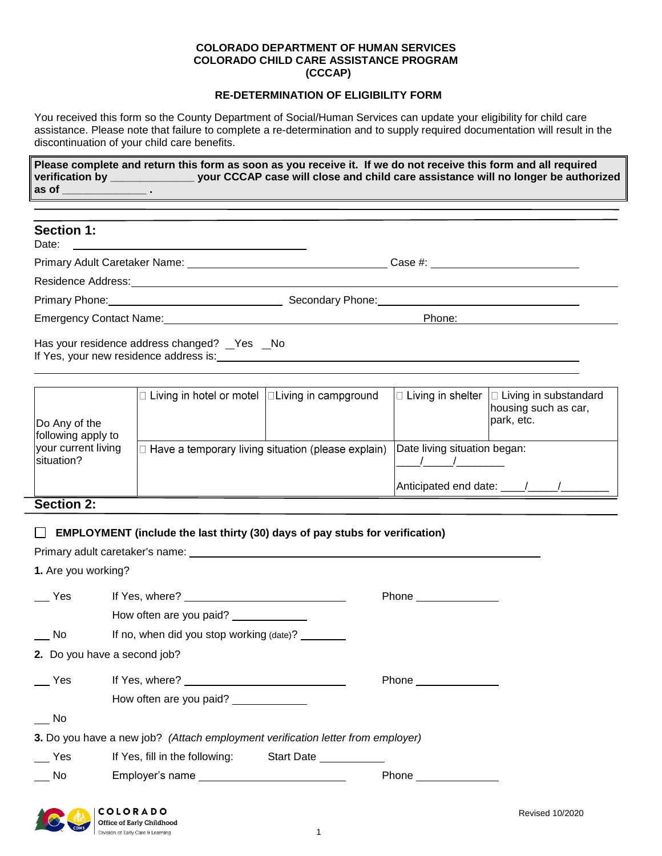#### **COLORADO DEPARTMENT OF HUMAN SERVICES COLORADO CHILD CARE ASSISTANCE PROGRAM (CCCAP)**

#### **RE-DETERMINATION OF ELIGIBILITY FORM**

You received this form so the County Department of Social/Human Services can update your eligibility for child care assistance. Please note that failure to complete a re-determination and to supply required documentation will result in the discontinuation of your child care benefits.

**Please complete and return this form as soon as you receive it. If we do not receive this form and all required verification by \_\_\_\_\_\_\_\_\_\_\_\_\_\_ your CCCAP case will close and child care assistance will no longer be authorized as of \_\_\_\_\_\_\_\_\_\_\_\_\_\_ .**

| <b>Section 1:</b>                                                                                                                                                                                                             |                                                        |
|-------------------------------------------------------------------------------------------------------------------------------------------------------------------------------------------------------------------------------|--------------------------------------------------------|
|                                                                                                                                                                                                                               | Case #: $\qquad \qquad$                                |
| Residence Address: University of the Contract of the Contract of the Contract of the Contract of the Contract of the Contract of the Contract of the Contract of the Contract of the Contract of the Contract of the Contract |                                                        |
| Primary Phone: 2008 2010 2021 2022 2023 2024 2022 2022 2023 2024 2022 2023 2024 2022 2023 2024 2022 2023 2024                                                                                                                 | Secondary Phone: <u>contained and all proportional</u> |
| Emergency Contact Name: Emergency Contact Name:                                                                                                                                                                               | Phone:                                                 |
| Has your residence address changed? Yes No                                                                                                                                                                                    |                                                        |

Do Any of the following apply to  $\Box$  Living in hotel or motel  $\Box$  Living in campground  $\Box$  Living in shelter  $\Box$  Living in substandard housing such as car,

| Do Any of the<br>following apply to |                                                    | park, etc.                                            |  |
|-------------------------------------|----------------------------------------------------|-------------------------------------------------------|--|
| your current living<br>situation?   | Have a temporary living situation (please explain) | Date living situation began:<br>Anticipated end date: |  |
| Section $2$                         |                                                    |                                                       |  |

**Section 2:**

#### **EMPLOYMENT (include the last thirty (30) days of pay stubs for verification)**

Primary adult caretaker's name: **Francisco and Contact and Contact and Contact and Contact and Contact and Contact and Contact and Contact and Contact and Contact and Contact and Contact and Contact and Contact and Contact** 

COLORADO Office of Early Childhood Division of Early Care & Learning

If Yes, your new residence address is:

**1.** Are you working?

| Yes                          |                                                                                 | Phone _______________ |
|------------------------------|---------------------------------------------------------------------------------|-----------------------|
|                              | How often are you paid?                                                         |                       |
| No                           |                                                                                 |                       |
| 2. Do you have a second job? |                                                                                 |                       |
| Yes                          |                                                                                 | Phone _______________ |
|                              | How often are you paid? ______________                                          |                       |
| No.                          |                                                                                 |                       |
|                              | 3. Do you have a new job? (Attach employment verification letter from employer) |                       |
| Yes                          | If Yes, fill in the following: Start Date                                       |                       |
| No.                          | Employer's name _______________________________                                 |                       |
|                              |                                                                                 |                       |

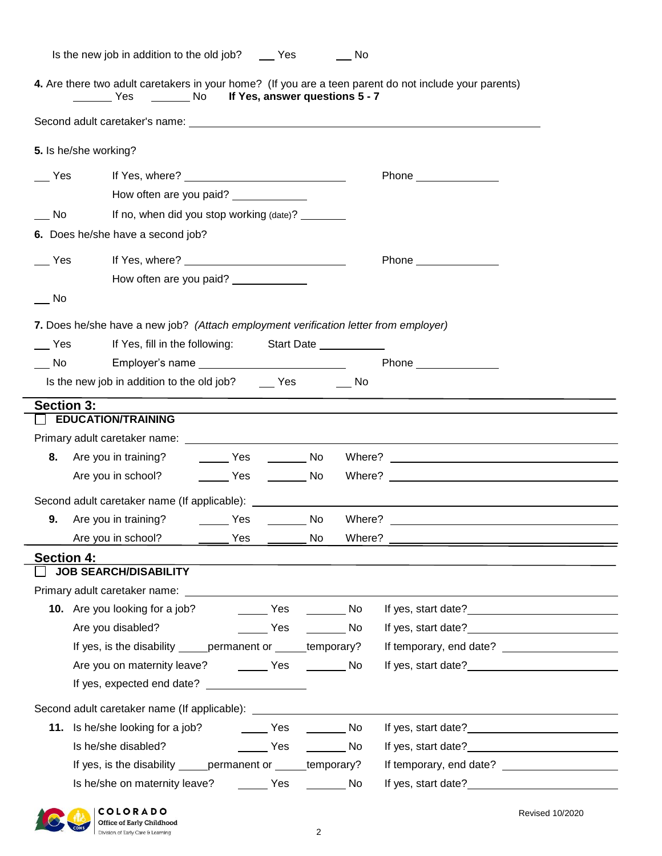|  | Is the new job in addition to the old job? | Yes | No. |
|--|--------------------------------------------|-----|-----|
|  |                                            |     |     |

**4.** Are there two adult caretakers in your home? (If you are a teen parent do not include your parents) Yes \_\_\_\_\_\_\_No lf Yes, answer questions 5 - 7

|                   | 5. Is he/she working?                                                                |                                                                              |  |
|-------------------|--------------------------------------------------------------------------------------|------------------------------------------------------------------------------|--|
| Yes               |                                                                                      | Phone _______________                                                        |  |
|                   | How often are you paid? _____________                                                |                                                                              |  |
| No                | If no, when did you stop working (date)? ________                                    |                                                                              |  |
|                   | 6. Does he/she have a second job?                                                    |                                                                              |  |
| Yes               |                                                                                      | Phone _______________                                                        |  |
|                   | How often are you paid? _____________                                                |                                                                              |  |
| No.               |                                                                                      |                                                                              |  |
|                   | 7. Does he/she have a new job? (Attach employment verification letter from employer) |                                                                              |  |
| Yes               | If Yes, fill in the following: Start Date                                            |                                                                              |  |
| No                | Employer's name __________________________                                           |                                                                              |  |
|                   | Is the new job in addition to the old job? Yes No                                    |                                                                              |  |
| <b>Section 3:</b> |                                                                                      |                                                                              |  |
|                   | <b>EDUCATION/TRAINING</b>                                                            |                                                                              |  |
|                   |                                                                                      |                                                                              |  |
| 8.                | Are you in training? __________ Yes __________ No                                    |                                                                              |  |
|                   | ________ Yes _________ No<br>Are you in school?                                      |                                                                              |  |
|                   |                                                                                      |                                                                              |  |
| 9.                | Are you in training? The Mesa Theory No                                              |                                                                              |  |
|                   |                                                                                      |                                                                              |  |
| <b>Section 4:</b> |                                                                                      |                                                                              |  |
|                   | <b>JOB SEARCH/DISABILITY</b>                                                         |                                                                              |  |
|                   | Primary adult caretaker name:                                                        |                                                                              |  |
|                   | <b>10.</b> Are you looking for a job?<br><b>Example ST</b>                           | <b>Solution</b> No                                                           |  |
|                   | $\rule{1em}{0.15mm}$ Yes<br>Are you disabled?                                        | If yes, start date?<br><u>If</u> yes, start date?<br>$\rule{1em}{0.15mm}$ No |  |
|                   | If yes, is the disability ______ permanent or ______ temporary?                      |                                                                              |  |
|                   |                                                                                      |                                                                              |  |
|                   | If yes, expected end date? ____________________                                      |                                                                              |  |
|                   | Second adult caretaker name (If applicable): ___________________________________     | <u> 1989 - John Stein, Amerikaansk politiker (</u>                           |  |
|                   | 11. Is he/she looking for a job? _________ Yes                                       | <b>Solution</b> No                                                           |  |
|                   | Is he/she disabled?<br><u>na and the Yes are not also not a No</u>                   | If yes, start date?<br><u>Letting</u>                                        |  |
|                   | If yes, is the disability ______ permanent or ______ temporary?                      |                                                                              |  |
|                   |                                                                                      |                                                                              |  |
|                   |                                                                                      |                                                                              |  |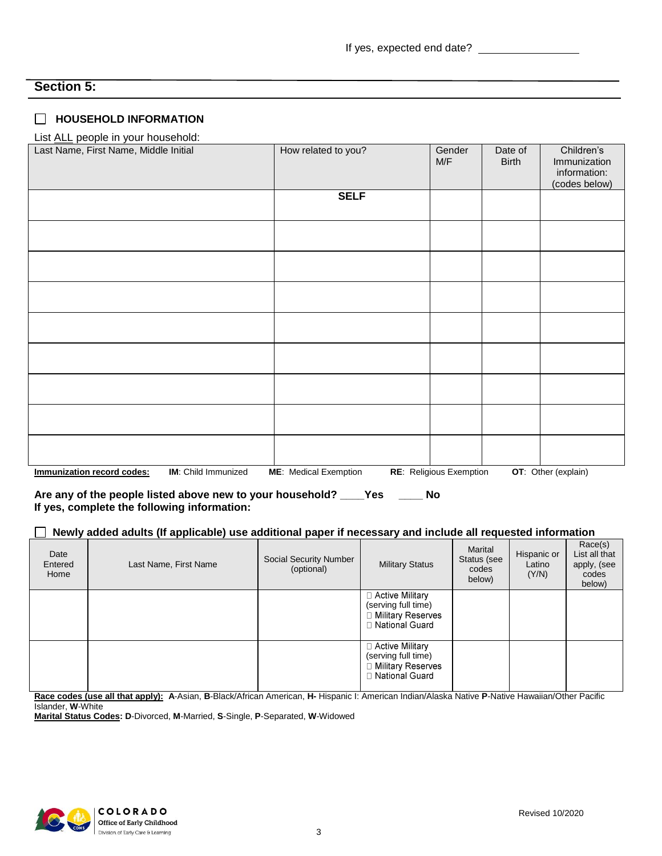# **Section 5:**

#### **HOUSEHOLD INFORMATION**

#### List ALL people in your household:

| Last Name, First Name, Middle Initial             | How related to you?          | Gender<br>M/F           | Date of<br><b>Birth</b> | Children's<br>Immunization<br>information:<br>(codes below) |
|---------------------------------------------------|------------------------------|-------------------------|-------------------------|-------------------------------------------------------------|
|                                                   | <b>SELF</b>                  |                         |                         |                                                             |
|                                                   |                              |                         |                         |                                                             |
|                                                   |                              |                         |                         |                                                             |
|                                                   |                              |                         |                         |                                                             |
|                                                   |                              |                         |                         |                                                             |
|                                                   |                              |                         |                         |                                                             |
|                                                   |                              |                         |                         |                                                             |
|                                                   |                              |                         |                         |                                                             |
|                                                   |                              |                         |                         |                                                             |
| Immunization record codes:<br>IM: Child Immunized | <b>ME:</b> Medical Exemption | RE: Religious Exemption |                         | OT: Other (explain)                                         |

**Are any of the people listed above new to your household? \_\_\_\_Yes \_\_\_\_ No If yes, complete the following information:**

#### **Newly added adults (If applicable) use additional paper if necessary and include all requested information** -L

| Date<br>Entered<br>Home | Last Name, First Name | <b>Social Security Number</b><br>(optional) | <b>Military Status</b>                                                                   | Marital<br>Status (see<br>codes<br>below) | Hispanic or<br>Latino<br>(Y/N) | Race(s)<br>List all that<br>apply, (see<br>codes<br>below) |
|-------------------------|-----------------------|---------------------------------------------|------------------------------------------------------------------------------------------|-------------------------------------------|--------------------------------|------------------------------------------------------------|
|                         |                       |                                             | $\Box$ Active Military<br>(serving full time)<br>□ Military Reserves<br>□ National Guard |                                           |                                |                                                            |
|                         |                       |                                             | □ Active Military<br>(serving full time)<br>□ Military Reserves<br>□ National Guard      |                                           |                                |                                                            |

**Race codes (use all that apply): A**-Asian, **B**-Black/African American, **H-** Hispanic I: American Indian/Alaska Native **P**-Native Hawaiian/Other Pacific Islander, **W**-White

**Marital Status Codes: D**-Divorced, **M**-Married, **S**-Single, **P**-Separated, **W**-Widowed

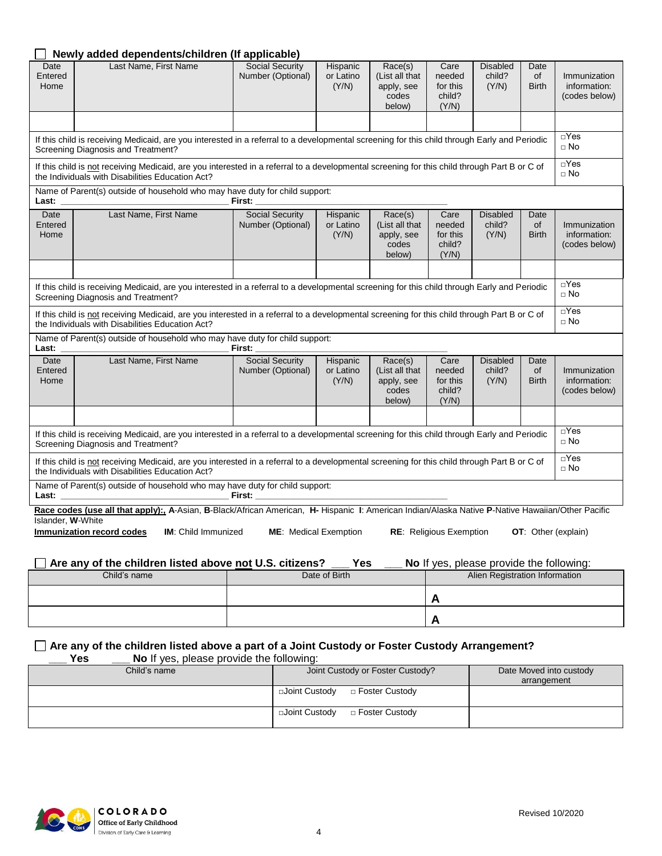|                                                                                                                                                                                                  | Newly added dependents/children (If applicable)                                                                                                                                                                                                                         |                                             |                                     |                                                            |                                               |                                          |                                   |                                               |
|--------------------------------------------------------------------------------------------------------------------------------------------------------------------------------------------------|-------------------------------------------------------------------------------------------------------------------------------------------------------------------------------------------------------------------------------------------------------------------------|---------------------------------------------|-------------------------------------|------------------------------------------------------------|-----------------------------------------------|------------------------------------------|-----------------------------------|-----------------------------------------------|
| Date<br>Entered<br>Home                                                                                                                                                                          | Last Name, First Name                                                                                                                                                                                                                                                   | <b>Social Security</b><br>Number (Optional) | Hispanic<br>or Latino<br>(Y/N)      | Race(s)<br>(List all that<br>apply, see<br>codes<br>below) | Care<br>needed<br>for this<br>child?<br>(Y/N) | <b>Disabled</b><br>child?<br>(Y/N)       | Date<br><b>of</b><br><b>Birth</b> | Immunization<br>information:<br>(codes below) |
|                                                                                                                                                                                                  |                                                                                                                                                                                                                                                                         |                                             |                                     |                                                            |                                               |                                          |                                   |                                               |
|                                                                                                                                                                                                  | If this child is receiving Medicaid, are you interested in a referral to a developmental screening for this child through Early and Periodic<br>Screening Diagnosis and Treatment?                                                                                      |                                             |                                     |                                                            |                                               |                                          |                                   | $\Box$ Yes<br>$\Box$ No                       |
| If this child is not receiving Medicaid, are you interested in a referral to a developmental screening for this child through Part B or C of<br>the Individuals with Disabilities Education Act? |                                                                                                                                                                                                                                                                         |                                             |                                     |                                                            | $\Box$ Yes<br>$\Box$ No                       |                                          |                                   |                                               |
| Last:                                                                                                                                                                                            | Name of Parent(s) outside of household who may have duty for child support:                                                                                                                                                                                             | First:                                      |                                     |                                                            |                                               |                                          |                                   |                                               |
| Date<br>Entered<br>Home                                                                                                                                                                          | Last Name, First Name                                                                                                                                                                                                                                                   | <b>Social Security</b><br>Number (Optional) | Hispanic<br>or Latino<br>(Y/N)      | Race(s)<br>(List all that<br>apply, see<br>codes<br>below) | Care<br>needed<br>for this<br>child?<br>(Y/N) | <b>Disabled</b><br>child?<br>(Y/N)       | Date<br><b>of</b><br><b>Birth</b> | Immunization<br>information:<br>(codes below) |
|                                                                                                                                                                                                  |                                                                                                                                                                                                                                                                         |                                             |                                     |                                                            |                                               |                                          |                                   |                                               |
|                                                                                                                                                                                                  | If this child is receiving Medicaid, are you interested in a referral to a developmental screening for this child through Early and Periodic<br>Screening Diagnosis and Treatment?                                                                                      |                                             |                                     |                                                            |                                               |                                          |                                   | $\Box$ Yes<br>$\Box$ No                       |
| If this child is not receiving Medicaid, are you interested in a referral to a developmental screening for this child through Part B or C of<br>the Individuals with Disabilities Education Act? |                                                                                                                                                                                                                                                                         |                                             |                                     |                                                            | $\Box$ Yes<br>$\Box$ No                       |                                          |                                   |                                               |
| Last:                                                                                                                                                                                            | Name of Parent(s) outside of household who may have duty for child support:                                                                                                                                                                                             | First:                                      |                                     |                                                            |                                               |                                          |                                   |                                               |
| Date<br>Entered<br>Home                                                                                                                                                                          | Last Name, First Name                                                                                                                                                                                                                                                   | <b>Social Security</b><br>Number (Optional) | Hispanic<br>or Latino<br>(Y/N)      | Race(s)<br>(List all that<br>apply, see<br>codes<br>below) | Care<br>needed<br>for this<br>child?<br>(Y/N) | <b>Disabled</b><br>child?<br>(Y/N)       | Date<br><b>of</b><br><b>Birth</b> | Immunization<br>information:<br>(codes below) |
|                                                                                                                                                                                                  |                                                                                                                                                                                                                                                                         |                                             |                                     |                                                            |                                               |                                          |                                   |                                               |
| If this child is receiving Medicaid, are you interested in a referral to a developmental screening for this child through Early and Periodic<br>Screening Diagnosis and Treatment?               |                                                                                                                                                                                                                                                                         |                                             |                                     |                                                            |                                               | $\Box$ Yes<br>$\Box$ No                  |                                   |                                               |
|                                                                                                                                                                                                  | If this child is not receiving Medicaid, are you interested in a referral to a developmental screening for this child through Part B or C of<br>the Individuals with Disabilities Education Act?                                                                        |                                             |                                     |                                                            |                                               |                                          |                                   | $\Box$ Yes<br>$\Box$ No                       |
| Last:                                                                                                                                                                                            | Name of Parent(s) outside of household who may have duty for child support:<br><u> 1989 - Johann Barbara, martxa alemaniar a</u>                                                                                                                                        |                                             |                                     |                                                            |                                               |                                          |                                   |                                               |
| Islander, W-White                                                                                                                                                                                | Race codes (use all that apply):, A-Asian, B-Black/African American, H- Hispanic I: American Indian/Alaska Native P-Native Hawaiian/Other Pacific<br><b>IM:</b> Child Immunized<br>Immunization record codes<br>Are any of the children listed above not U.S. citizens? |                                             | <b>ME:</b> Medical Exemption<br>Yes |                                                            | <b>RE:</b> Religious Exemption                | No If yes, please provide the following: |                                   | <b>OT:</b> Other (explain)                    |

|              | 100           | <b>TVO</b> II yes, please provide the following. |
|--------------|---------------|--------------------------------------------------|
| Child's name | Date of Birth | Alien Registration Information                   |
|              |               |                                                  |
|              |               |                                                  |

# **Are any of the children listed above a part of a Joint Custody or Foster Custody Arrangement?**

| Yes<br>No If yes, please provide the following: |                                    |                         |
|-------------------------------------------------|------------------------------------|-------------------------|
| Child's name                                    | Joint Custody or Foster Custody?   | Date Moved into custody |
|                                                 |                                    | arrangement             |
|                                                 | □Joint Custody<br>□ Foster Custody |                         |
|                                                 | □Joint Custody<br>□ Foster Custody |                         |

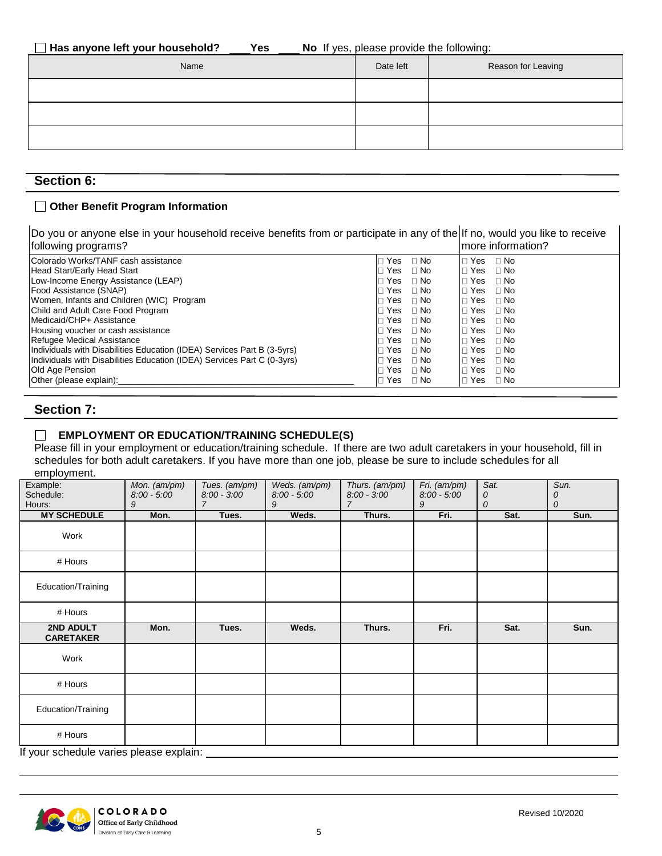| No If yes, please provide the following: | Has anyone left your household? | Yes |  |  |  |
|------------------------------------------|---------------------------------|-----|--|--|--|
|------------------------------------------|---------------------------------|-----|--|--|--|

| Name | Date left | Reason for Leaving |
|------|-----------|--------------------|
|      |           |                    |
|      |           |                    |
|      |           |                    |

# **Section 6:**

### **Other Benefit Program Information**

| Do you or anyone else in your household receive benefits from or participate in any of the  If no, would you like to receive<br>following programs? |                  | more information?       |
|-----------------------------------------------------------------------------------------------------------------------------------------------------|------------------|-------------------------|
| Colorado Works/TANF cash assistance                                                                                                                 | Yes $\Box$ No    | ⊟ No<br>l⊡ Yes          |
| Head Start/Early Head Start                                                                                                                         | Yes<br>$\Box$ No | ⊟ No<br>Yes<br>п        |
| Low-Income Energy Assistance (LEAP)                                                                                                                 | Yes<br>$\Box$ No | ⊟ No<br>$\Box$ Yes      |
| Food Assistance (SNAP)                                                                                                                              | Yes ⊓ No         | $\Box$ No<br>l⊓ Yes     |
| Women, Infants and Children (WIC) Program                                                                                                           | Yes □ No         | ⊟ No<br>П<br>Yes        |
| Child and Adult Care Food Program                                                                                                                   | Yes<br>$\Box$ No | ⊟ No<br>l⊓ Yes          |
| Medicaid/CHP+ Assistance                                                                                                                            | Yes □ No         | $\Box$ No<br>l⊓ Yes     |
| Housing voucher or cash assistance                                                                                                                  | Yes $\Box$ No    | ⊟ No<br>l⊓ Yes          |
| Refugee Medical Assistance                                                                                                                          | Yes.<br>⊟ No     | ⊟ No<br>l⊟ Yes⊣         |
| Individuals with Disabilities Education (IDEA) Services Part B (3-5yrs)                                                                             | Yes<br>$\Box$ No | $\sqcap$ No<br>П<br>Yes |
| Individuals with Disabilities Education (IDEA) Services Part C (0-3yrs)                                                                             | Yes<br>⊟ No      | $\Box$ No<br>l⊓ Yes     |
| Old Age Pension                                                                                                                                     | $\Box$ No<br>Yes | $\Box$ No<br>п<br>Yes   |
| Other (please explain):                                                                                                                             | ⊟ No<br>Yes      | $\Box$ No<br>l⊡ Yes     |

## **Section 7:**

### **EMPLOYMENT OR EDUCATION/TRAINING SCHEDULE(S)**

Please fill in your employment or education/training schedule. If there are two adult caretakers in your household, fill in schedules for both adult caretakers. If you have more than one job, please be sure to include schedules for all employment.

| Example:<br>Schedule:<br>Hours:                      | Mon. (am/pm)<br>$8.00 - 5.00$<br>9 | Tues. (am/pm)<br>$8.00 - 3.00$<br>7 | Weds. (am/pm)<br>$8.00 - 5.00$<br>9 | Thurs. (am/pm)<br>$8.00 - 3.00$<br>7 | Fri. (am/pm)<br>$8.00 - 5.00$<br>9 | Sat.<br>0<br>0 | Sun.<br>0<br>0 |
|------------------------------------------------------|------------------------------------|-------------------------------------|-------------------------------------|--------------------------------------|------------------------------------|----------------|----------------|
| <b>MY SCHEDULE</b>                                   | Mon.                               | Tues.                               | Weds.                               | Thurs.                               | Fri.                               | Sat.           | Sun.           |
| Work                                                 |                                    |                                     |                                     |                                      |                                    |                |                |
| # Hours                                              |                                    |                                     |                                     |                                      |                                    |                |                |
| Education/Training                                   |                                    |                                     |                                     |                                      |                                    |                |                |
| # Hours                                              |                                    |                                     |                                     |                                      |                                    |                |                |
| 2ND ADULT<br><b>CARETAKER</b>                        | Mon.                               | Tues.                               | Weds.                               | Thurs.                               | Fri.                               | Sat.           | Sun.           |
| Work                                                 |                                    |                                     |                                     |                                      |                                    |                |                |
| # Hours                                              |                                    |                                     |                                     |                                      |                                    |                |                |
| Education/Training                                   |                                    |                                     |                                     |                                      |                                    |                |                |
| # Hours<br>If you askes use you as places available. |                                    |                                     |                                     |                                      |                                    |                |                |

If your schedule varies please explain:

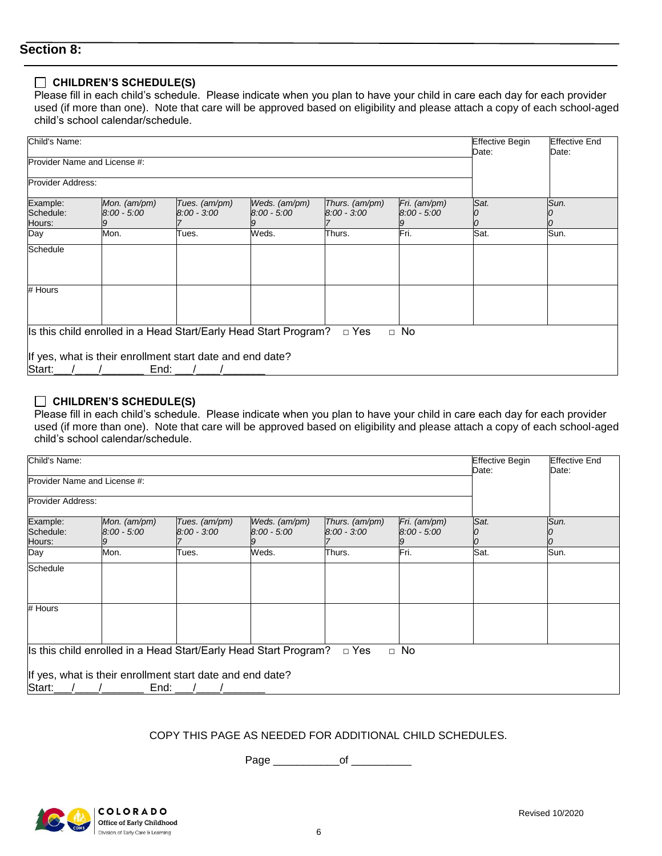# **Section 8:**

### **CHILDREN'S SCHEDULE(S)**

Please fill in each child's schedule. Please indicate when you plan to have your child in care each day for each provider used (if more than one). Note that care will be approved based on eligibility and please attach a copy of each school-aged child's school calendar/schedule.

| Child's Name:                   |                                                                   | <b>Effective Begin</b><br>Date: | <b>Effective End</b><br>Date:  |                                 |                               |      |      |
|---------------------------------|-------------------------------------------------------------------|---------------------------------|--------------------------------|---------------------------------|-------------------------------|------|------|
| Provider Name and License #:    |                                                                   |                                 |                                |                                 |                               |      |      |
| Provider Address:               |                                                                   |                                 |                                |                                 |                               |      |      |
| Example:<br>Schedule:<br>Hours: | Mon. (am/pm)<br>$8:00 - 5:00$                                     | Tues. (am/pm)<br>$8:00 - 3:00$  | Weds. (am/pm)<br>$8:00 - 5:00$ | Thurs. (am/pm)<br>$8:00 - 3:00$ | Fri. (am/pm)<br>$8:00 - 5:00$ | Sat. | Sun. |
| Day                             | Mon.                                                              | Гues.                           | Weds.                          | Thurs.                          | Fri.                          | Sat. | Sun. |
| Schedule                        |                                                                   |                                 |                                |                                 |                               |      |      |
| # Hours                         |                                                                   |                                 |                                |                                 |                               |      |      |
|                                 | Is this child enrolled in a Head Start/Early Head Start Program?  |                                 |                                | $\Box$ Yes                      | $\Box$ No                     |      |      |
| Start:                          | If yes, what is their enrollment start date and end date?<br>End: |                                 |                                |                                 |                               |      |      |

#### **CHILDREN'S SCHEDULE(S)**

Please fill in each child's schedule. Please indicate when you plan to have your child in care each day for each provider used (if more than one). Note that care will be approved based on eligibility and please attach a copy of each school-aged child's school calendar/schedule.

| Child's Name:                   |                                                                   |                                |                                |                                 |                               |       | <b>Effective End</b><br>Date: |
|---------------------------------|-------------------------------------------------------------------|--------------------------------|--------------------------------|---------------------------------|-------------------------------|-------|-------------------------------|
|                                 | Provider Name and License #:                                      |                                |                                |                                 |                               | Date: |                               |
| Provider Address:               |                                                                   |                                |                                |                                 |                               |       |                               |
| Example:<br>Schedule:<br>Hours: | Mon. (am/pm)<br>$8:00 - 5:00$                                     | Tues. (am/pm)<br>$8:00 - 3:00$ | Weds. (am/pm)<br>$8.00 - 5.00$ | Thurs. (am/pm)<br>$8:00 - 3:00$ | Fri. (am/pm)<br>$8:00 - 5:00$ | Sat.  | Sun.<br>10                    |
| Day                             | Mon.                                                              | Tues.                          | Weds.                          | Thurs.                          | Fri.                          | Sat.  | Sun.                          |
| Schedule                        |                                                                   |                                |                                |                                 |                               |       |                               |
| # Hours                         |                                                                   |                                |                                |                                 |                               |       |                               |
|                                 | Is this child enrolled in a Head Start/Early Head Start Program?  |                                |                                | $\Box$ Yes                      | $\Box$ No                     |       |                               |
| Start:                          | If yes, what is their enrollment start date and end date?<br>End: |                                |                                |                                 |                               |       |                               |

#### COPY THIS PAGE AS NEEDED FOR ADDITIONAL CHILD SCHEDULES.

Page \_\_\_\_\_\_\_\_\_\_\_\_\_\_\_of \_\_\_\_\_\_\_\_\_\_\_\_\_

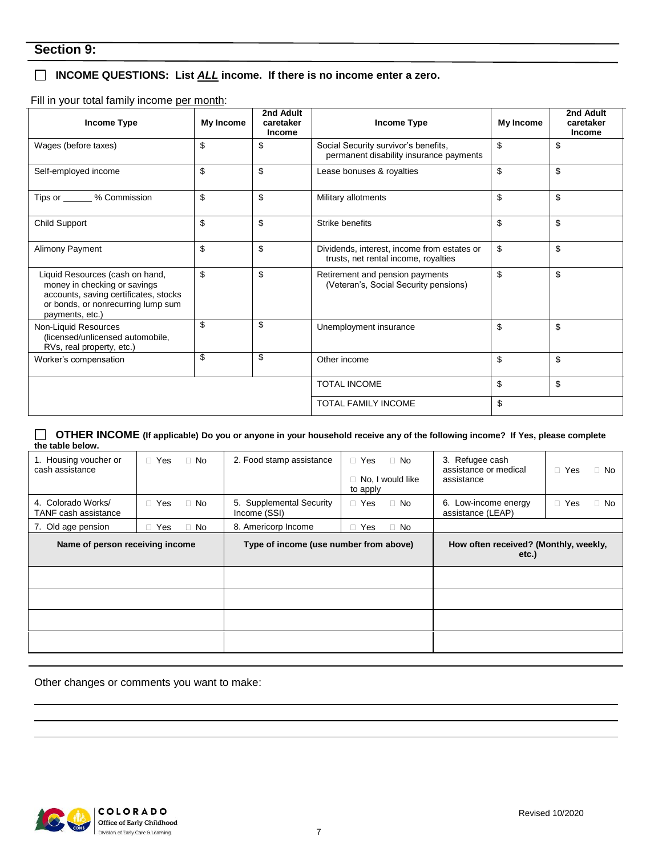# **INCOME QUESTIONS: List** *ALL* **income. If there is no income enter a zero.**

Fill in your total family income per month:

| Income Type                                                                                                                                                       | My Income | 2nd Adult<br>caretaker<br><b>Income</b> | Income Type                                                                           | My Income | 2nd Adult<br>caretaker<br><b>Income</b> |
|-------------------------------------------------------------------------------------------------------------------------------------------------------------------|-----------|-----------------------------------------|---------------------------------------------------------------------------------------|-----------|-----------------------------------------|
| Wages (before taxes)                                                                                                                                              | \$        | \$                                      | \$<br>Social Security survivor's benefits,<br>permanent disability insurance payments |           | \$                                      |
| Self-employed income                                                                                                                                              | \$        | \$                                      | Lease bonuses & royalties                                                             | \$        | \$                                      |
| Tips or _______ % Commission                                                                                                                                      | \$        | \$                                      | Military allotments                                                                   | \$        | \$                                      |
| <b>Child Support</b>                                                                                                                                              | \$        | \$                                      | Strike benefits                                                                       | \$        | \$                                      |
| Alimony Payment                                                                                                                                                   | \$        | \$                                      | Dividends, interest, income from estates or<br>trusts, net rental income, royalties   | \$        | \$                                      |
| Liquid Resources (cash on hand,<br>money in checking or savings<br>accounts, saving certificates, stocks<br>or bonds, or nonrecurring lump sum<br>payments, etc.) | \$        | \$                                      | Retirement and pension payments<br>(Veteran's, Social Security pensions)              | \$        | \$                                      |
| Non-Liquid Resources<br>(licensed/unlicensed automobile,<br>RVs, real property, etc.)                                                                             | \$        | \$                                      | Unemployment insurance                                                                | \$        | \$                                      |
| Worker's compensation                                                                                                                                             | \$        | \$                                      | Other income                                                                          | \$        | \$                                      |
|                                                                                                                                                                   |           |                                         | <b>TOTAL INCOME</b>                                                                   | \$        | \$                                      |
|                                                                                                                                                                   |           |                                         | <b>TOTAL FAMILY INCOME</b>                                                            | \$        |                                         |

 **OTHER INCOME (If applicable) Do you or anyone in your household receive any of the following income? If Yes, please complete the table below.**

| 1. Housing voucher or<br>cash assistance          | $\Box$ Yes | $\Box$ No                              | 2. Food stamp assistance                 | □ Yes<br>$\Box$ No<br>No, I would like<br>0<br>to apply | 3. Refugee cash<br>assistance or medical<br>assistance | □ Yes<br>$\Box$ No      |
|---------------------------------------------------|------------|----------------------------------------|------------------------------------------|---------------------------------------------------------|--------------------------------------------------------|-------------------------|
| 4. Colorado Works/<br><b>TANF</b> cash assistance | $\Box$ Yes | $\Box$ No                              | 5. Supplemental Security<br>Income (SSI) | $\Box$ Yes<br>$\Box$ No                                 | 6. Low-income energy<br>assistance (LEAP)              | $\Box$ Yes<br>$\Box$ No |
| 7. Old age pension                                | $\Box$ Yes | $\Box$ No                              | 8. Americorp Income                      | $\Box$ Yes<br>$\Box$ No                                 |                                                        |                         |
| Name of person receiving income                   |            | Type of income (use number from above) |                                          | How often received? (Monthly, weekly,<br>etc.)          |                                                        |                         |
|                                                   |            |                                        |                                          |                                                         |                                                        |                         |
|                                                   |            |                                        |                                          |                                                         |                                                        |                         |
|                                                   |            |                                        |                                          |                                                         |                                                        |                         |
|                                                   |            |                                        |                                          |                                                         |                                                        |                         |

Other changes or comments you want to make:

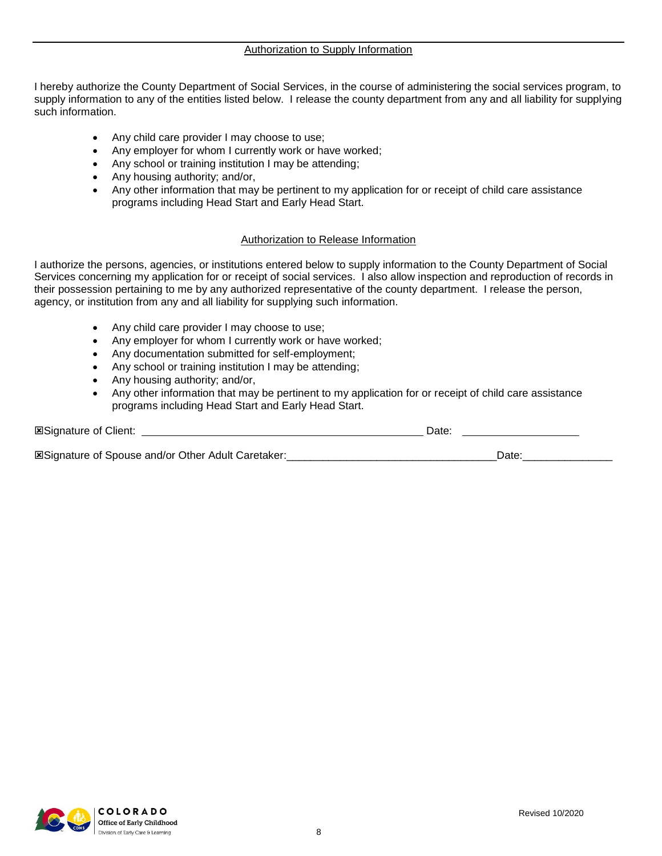I hereby authorize the County Department of Social Services, in the course of administering the social services program, to supply information to any of the entities listed below. I release the county department from any and all liability for supplying such information.

- Any child care provider I may choose to use;
- Any employer for whom I currently work or have worked;
- Any school or training institution I may be attending;
- Any housing authority; and/or,
- Any other information that may be pertinent to my application for or receipt of child care assistance programs including Head Start and Early Head Start.

#### Authorization to Release Information

I authorize the persons, agencies, or institutions entered below to supply information to the County Department of Social Services concerning my application for or receipt of social services. I also allow inspection and reproduction of records in their possession pertaining to me by any authorized representative of the county department. I release the person, agency, or institution from any and all liability for supplying such information.

- Any child care provider I may choose to use;
- Any employer for whom I currently work or have worked;
- Any documentation submitted for self-employment;
- Any school or training institution I may be attending;
- Any housing authority; and/or,
- Any other information that may be pertinent to my application for or receipt of child care assistance programs including Head Start and Early Head Start.

| <b>ESignature of Client:</b>                              | Date: |
|-----------------------------------------------------------|-------|
| <b>ESignature of Spouse and/or Other Adult Caretaker:</b> | Date. |

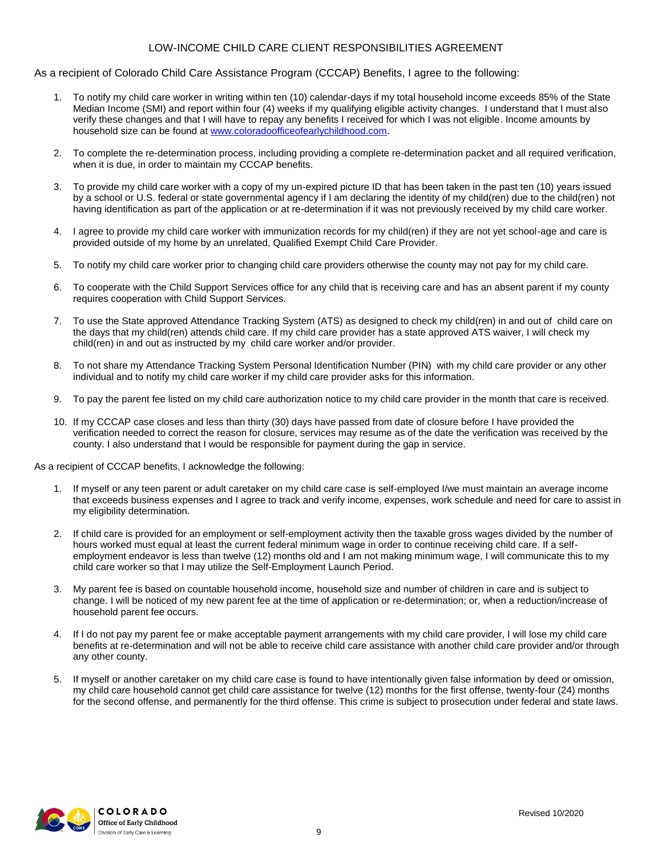#### LOW-INCOME CHILD CARE CLIENT RESPONSIBILITIES AGREEMENT

#### As a recipient of Colorado Child Care Assistance Program (CCCAP) Benefits, I agree to the following:

- 1. To notify my child care worker in writing within ten (10) calendar-days if my total household income exceeds 85% of the State Median Income (SMI) and report within four (4) weeks if my qualifying eligible activity changes. I understand that I must also verify these changes and that I will have to repay any benefits I received for which I was not eligible. Income amounts by household size can be found at [www.coloradoofficeofearlychildhood.com.](http://www.coloradoofficeofearlychildhood.com/)
- 2. To complete the re-determination process, including providing a complete re-determination packet and all required verification, when it is due, in order to maintain my CCCAP benefits.
- 3. To provide my child care worker with a copy of my un-expired picture ID that has been taken in the past ten (10) years issued by a school or U.S. federal or state governmental agency if I am declaring the identity of my child(ren) due to the child(ren) not having identification as part of the application or at re-determination if it was not previously received by my child care worker.
- 4. I agree to provide my child care worker with immunization records for my child(ren) if they are not yet school-age and care is provided outside of my home by an unrelated, Qualified Exempt Child Care Provider.
- 5. To notify my child care worker prior to changing child care providers otherwise the county may not pay for my child care.
- 6. To cooperate with the Child Support Services office for any child that is receiving care and has an absent parent if my county requires cooperation with Child Support Services.
- 7. To use the State approved Attendance Tracking System (ATS) as designed to check my child(ren) in and out of child care on the days that my child(ren) attends child care. If my child care provider has a state approved ATS waiver, I will check my child(ren) in and out as instructed by my child care worker and/or provider.
- 8. To not share my Attendance Tracking System Personal Identification Number (PIN) with my child care provider or any other individual and to notify my child care worker if my child care provider asks for this information.
- 9. To pay the parent fee listed on my child care authorization notice to my child care provider in the month that care is received.
- 10. If my CCCAP case closes and less than thirty (30) days have passed from date of closure before I have provided the verification needed to correct the reason for closure, services may resume as of the date the verification was received by the county. I also understand that I would be responsible for payment during the gap in service.

As a recipient of CCCAP benefits, I acknowledge the following:

- 1. If myself or any teen parent or adult caretaker on my child care case is self-employed I/we must maintain an average income that exceeds business expenses and I agree to track and verify income, expenses, work schedule and need for care to assist in my eligibility determination.
- 2. If child care is provided for an employment or self-employment activity then the taxable gross wages divided by the number of hours worked must equal at least the current federal minimum wage in order to continue receiving child care. If a selfemployment endeavor is less than twelve (12) months old and I am not making minimum wage, I will communicate this to my child care worker so that I may utilize the Self-Employment Launch Period.
- 3. My parent fee is based on countable household income, household size and number of children in care and is subject to change. I will be noticed of my new parent fee at the time of application or re-determination; or, when a reduction/increase of household parent fee occurs.
- 4. If I do not pay my parent fee or make acceptable payment arrangements with my child care provider, I will lose my child care benefits at re-determination and will not be able to receive child care assistance with another child care provider and/or through any other county.
- 5. If myself or another caretaker on my child care case is found to have intentionally given false information by deed or omission, my child care household cannot get child care assistance for twelve (12) months for the first offense, twenty-four (24) months for the second offense, and permanently for the third offense. This crime is subject to prosecution under federal and state laws.

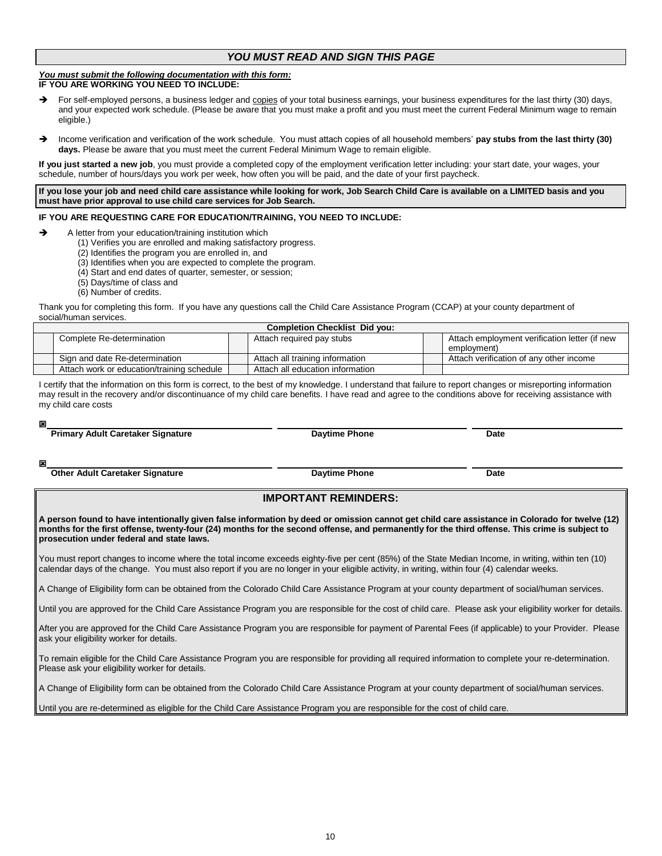#### *YOU MUST READ AND SIGN THIS PAGE*

#### *You must submit the following documentation with this form:* **IF YOU ARE WORKING YOU NEED TO INCLUDE:**

- For self-employed persons, a business ledger and copies of your total business earnings, your business expenditures for the last thirty (30) days, and your expected work schedule. (Please be aware that you must make a profit and you must meet the current Federal Minimum wage to remain eligible.)
- Income verification and verification of the work schedule. You must attach copies of all household members' **pay stubs from the last thirty (30) days.** Please be aware that you must meet the current Federal Minimum Wage to remain eligible.

**If you just started a new job**, you must provide a completed copy of the employment verification letter including: your start date, your wages, your schedule, number of hours/days you work per week, how often you will be paid, and the date of your first paycheck.

**If you lose your job and need child care assistance while looking for work, Job Search Child Care is available on a LIMITED basis and you must have prior approval to use child care services for Job Search.**

#### **IF YOU ARE REQUESTING CARE FOR EDUCATION/TRAINING, YOU NEED TO INCLUDE:**

- A letter from your education/training institution which
	- (1) Verifies you are enrolled and making satisfactory progress.
	- (2) Identifies the program you are enrolled in, and
	- (3) Identifies when you are expected to complete the program.
	- (4) Start and end dates of quarter, semester, or session;
	- (5) Days/time of class and
	- (6) Number of credits.

Thank you for completing this form. If you have any questions call the Child Care Assistance Program (CCAP) at your county department of social/human services.

| <b>Completion Checklist Did vou:</b>       |  |                                  |  |                                               |  |  |  |
|--------------------------------------------|--|----------------------------------|--|-----------------------------------------------|--|--|--|
| Complete Re-determination                  |  | Attach required pay stubs        |  | Attach employment verification letter (if new |  |  |  |
|                                            |  |                                  |  | employment)                                   |  |  |  |
| Sign and date Re-determination             |  | Attach all training information  |  | Attach verification of any other income       |  |  |  |
| Attach work or education/training schedule |  | Attach all education information |  |                                               |  |  |  |

I certify that the information on this form is correct, to the best of my knowledge. I understand that failure to report changes or misreporting information may result in the recovery and/or discontinuance of my child care benefits. I have read and agree to the conditions above for receiving assistance with my child care costs

 **Primary Adult Caretaker Signature Date Date Daytime Phone Date Date** 

 **Other Adult Caretaker Signature <b>Date Date Daytime Phone Date Date Date** 

#### **IMPORTANT REMINDERS:**

**A person found to have intentionally given false information by deed or omission cannot get child care assistance in Colorado for twelve (12) months for the first offense, twenty-four (24) months for the second offense, and permanently for the third offense. This crime is subject to prosecution under federal and state laws.**

You must report changes to income where the total income exceeds eighty-five per cent (85%) of the State Median Income, in writing, within ten (10) calendar days of the change. You must also report if you are no longer in your eligible activity, in writing, within four (4) calendar weeks.

A Change of Eligibility form can be obtained from the Colorado Child Care Assistance Program at your county department of social/human services.

Until you are approved for the Child Care Assistance Program you are responsible for the cost of child care. Please ask your eligibility worker for details.

After you are approved for the Child Care Assistance Program you are responsible for payment of Parental Fees (if applicable) to your Provider. Please ask your eligibility worker for details.

To remain eligible for the Child Care Assistance Program you are responsible for providing all required information to complete your re-determination. Please ask your eligibility worker for details.

A Change of Eligibility form can be obtained from the Colorado Child Care Assistance Program at your county department of social/human services.

Until you are re-determined as eligible for the Child Care Assistance Program you are responsible for the cost of child care.